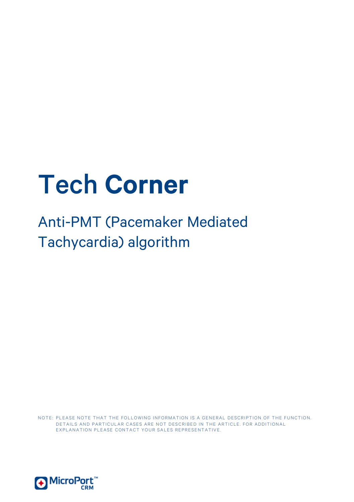# Tech **Corner**

Anti-PMT (Pacemaker Mediated Tachycardia) algorithm

NOTE: PLEASE NOTE THAT THE FOLLOWING INFORMATION IS A GENERAL DESCRIPTION OF THE FUNCTION. DETAILS AND PARTICULAR CASES ARE NOT DESCRIBED IN THE ARTICLE. FOR ADDITIONAL EXPLANATION PLEASE CONTACT YOUR SALES REPRESENTATIVE.

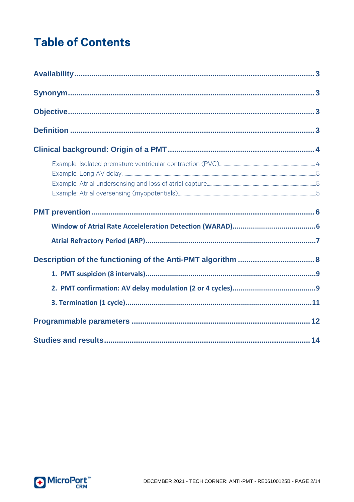## **Table of Contents**

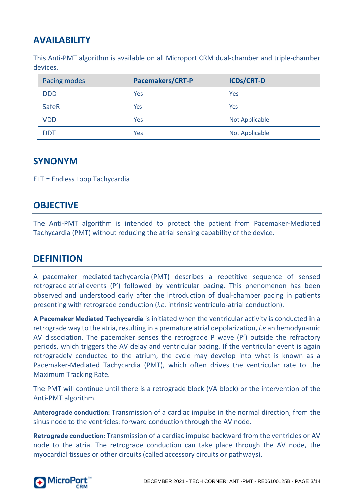## <span id="page-2-0"></span>**AVAILABILITY**

This Anti-PMT algorithm is available on all Microport CRM dual-chamber and triple-chamber devices.

| Pacing modes | <b>Pacemakers/CRT-P</b> | <b>ICDs/CRT-D</b>     |
|--------------|-------------------------|-----------------------|
| <b>DDD</b>   | Yes                     | Yes                   |
| SafeR        | Yes                     | Yes                   |
| <b>VDD</b>   | Yes                     | <b>Not Applicable</b> |
| DDT          | Yes                     | Not Applicable        |

#### <span id="page-2-1"></span>**SYNONYM**

<span id="page-2-2"></span>ELT = Endless Loop Tachycardia

#### **OBJECTIVE**

The Anti-PMT algorithm is intended to protect the patient from Pacemaker-Mediated Tachycardia (PMT) without reducing the atrial sensing capability of the device.

#### <span id="page-2-3"></span>**DEFINITION**

A pacemaker mediated tachycardia (PMT) describes a repetitive sequence of sensed retrograde atrial events (P') followed by ventricular pacing. This phenomenon has been observed and understood early after the introduction of dual-chamber pacing in patients presenting with retrograde conduction (*i.e.* intrinsic ventriculo-atrial conduction).

**A Pacemaker Mediated Tachycardia** is initiated when the ventricular activity is conducted in a retrograde way to the atria, resulting in a premature atrial depolarization, *i.e* an hemodynamic AV dissociation. The pacemaker senses the retrograde P wave (P') outside the refractory periods, which triggers the AV delay and ventricular pacing. If the ventricular event is again retrogradely conducted to the atrium, the cycle may develop into what is known as a Pacemaker-Mediated Tachycardia (PMT), which often drives the ventricular rate to the Maximum Tracking Rate.

The PMT will continue until there is a retrograde block (VA block) or the intervention of the Anti-PMT algorithm.

**Anterograde conduction:** Transmission of a cardiac impulse in the normal direction, from the sinus node to the ventricles: forward conduction through the AV node.

**Retrograde conduction:** Transmission of a cardiac impulse backward from the ventricles or AV node to the atria. The retrograde conduction can take place through the AV node, the myocardial tissues or other circuits (called accessory circuits or pathways).

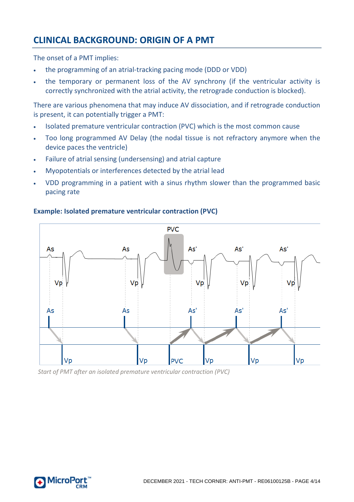## <span id="page-3-0"></span>**CLINICAL BACKGROUND: ORIGIN OF A PMT**

The onset of a PMT implies:

- the programming of an atrial-tracking pacing mode (DDD or VDD)
- the temporary or permanent loss of the AV synchrony (if the ventricular activity is correctly synchronized with the atrial activity, the retrograde conduction is blocked).

There are various phenomena that may induce AV dissociation, and if retrograde conduction is present, it can potentially trigger a PMT:

- Isolated premature ventricular contraction (PVC) which is the most common cause
- Too long programmed AV Delay (the nodal tissue is not refractory anymore when the device paces the ventricle)
- Failure of atrial sensing (undersensing) and atrial capture
- Myopotentials or interferences detected by the atrial lead
- VDD programming in a patient with a sinus rhythm slower than the programmed basic pacing rate



#### <span id="page-3-1"></span>**Example: Isolated premature ventricular contraction (PVC)**

*Start of PMT after an isolated premature ventricular contraction (PVC)*

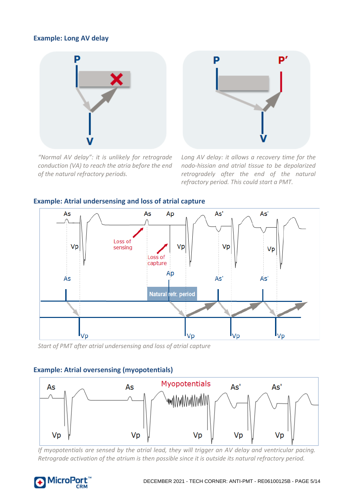#### <span id="page-4-0"></span>**Example: Long AV delay**



*"Normal AV delay": it is unlikely for retrograde conduction (VA) to reach the atria before the end of the natural refractory periods.*



*Long AV delay: it allows a recovery time for the nodo-hissian and atrial tissue to be depolarized retrogradely after the end of the natural refractory period. This could start a PMT.*



#### <span id="page-4-1"></span>**Example: Atrial undersensing and loss of atrial capture**

*Start of PMT after atrial undersensing and loss of atrial capture*

#### <span id="page-4-2"></span>**Example: Atrial oversensing (myopotentials)**



*If myopotentials are sensed by the atrial lead, they will trigger an AV delay and ventricular pacing. Retrograde activation of the atrium is then possible since it is outside its natural refractory period.*

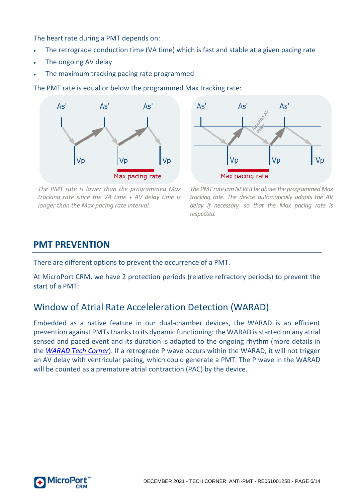The heart rate during a PMT depends on:

- The retrograde conduction time (VA time) which is fast and stable at a given pacing rate
- The ongoing AV delay
- The maximum tracking pacing rate programmed

The PMT rate is equal or below the programmed Max tracking rate:



*The PMT rate is lower than the programmed Max tracking rate since the VA time + AV delay time is longer than the Max pacing rate interval.*



*The PMT rate can NEVER be above the programmed Max tracking rate. The device automatically adapts the AV delay if necessary, so that the Max pacing rate is respected.*

#### <span id="page-5-0"></span>**PMT PREVENTION**

There are different options to prevent the occurrence of a PMT.

At MicroPort CRM, we have 2 protection periods (relative refractory periods) to prevent the start of a PMT:

## <span id="page-5-1"></span>Window of Atrial Rate Acceleleration Detection (WARAD)

Embedded as a native feature in our dual-chamber devices, the WARAD is an efficient prevention against PMTs thanks to its dynamic functioning: the WARAD is started on any atrial sensed and paced event and its duration is adapted to the ongoing rhythm (more details in the *[WARAD Tech Corner](http://www.crm.microport.com/wp-content/uploads/2018/06/WARAD_revB_2018.pdf)*). If a retrograde P wave occurs within the WARAD, it will not trigger an AV delay with ventricular pacing, which could generate a PMT. The P wave in the WARAD will be counted as a premature atrial contraction (PAC) by the device.

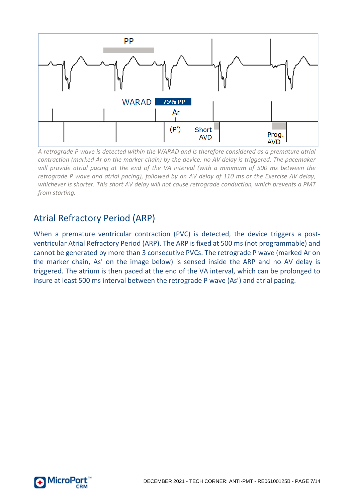

*A retrograde P wave is detected within the WARAD and is therefore considered as a premature atrial contraction (marked Ar on the marker chain) by the device: no AV delay is triggered. The pacemaker will provide atrial pacing at the end of the VA interval (with a minimum of 500 ms between the retrograde P wave and atrial pacing), followed by an AV delay of 110 ms or the Exercise AV delay, whichever is shorter. This short AV delay will not cause retrograde conduction, which prevents a PMT from starting.*

## <span id="page-6-0"></span>Atrial Refractory Period (ARP)

When a premature ventricular contraction (PVC) is detected, the device triggers a postventricular Atrial Refractory Period (ARP). The ARP is fixed at 500 ms (not programmable) and cannot be generated by more than 3 consecutive PVCs. The retrograde P wave (marked Ar on the marker chain, As' on the image below) is sensed inside the ARP and no AV delay is triggered. The atrium is then paced at the end of the VA interval, which can be prolonged to insure at least 500 ms interval between the retrograde P wave (As') and atrial pacing.

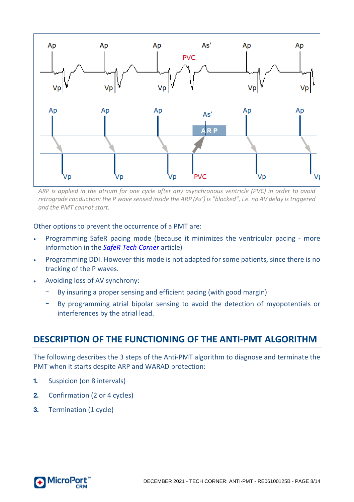

*ARP is applied in the atrium for one cycle after any asynchronous ventricle (PVC) in order to avoid retrograde conduction: the P wave sensed inside the ARP (As') is "blocked", i.e. no AV delay is triggered and the PMT cannot start.*

Other options to prevent the occurrence of a PMT are:

- Programming SafeR pacing mode (because it minimizes the ventricular pacing more information in the *[SafeR Tech Corner](http://www.crm.microport.com/wp-content/uploads/2018/06/SafeR_revB_2018.pdf)* article)
- Programming DDI. However this mode is not adapted for some patients, since there is no tracking of the P waves.
- Avoiding loss of AV synchrony:
	- By insuring a proper sensing and efficient pacing (with good margin)
	- By programming atrial bipolar sensing to avoid the detection of myopotentials or interferences by the atrial lead.

#### <span id="page-7-0"></span>**DESCRIPTION OF THE FUNCTIONING OF THE ANTI-PMT ALGORITHM**

The following describes the 3 steps of the Anti-PMT algorithm to diagnose and terminate the PMT when it starts despite ARP and WARAD protection:

- **1.** Suspicion (on 8 intervals)
- **2.** Confirmation (2 or 4 cycles)
- **3.** Termination (1 cycle)

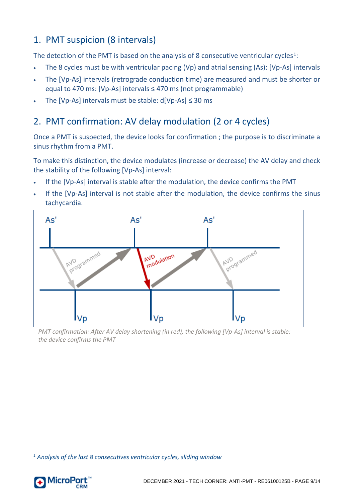## <span id="page-8-0"></span>1. PMT suspicion (8 intervals)

The detection of the PMT is based on the analysis of 8 consecutive ventricular cycles<sup>[1](#page-8-2)</sup>:

- The 8 cycles must be with ventricular pacing (Vp) and atrial sensing (As): [Vp-As] intervals
- The [Vp-As] intervals (retrograde conduction time) are measured and must be shorter or equal to 470 ms: [Vp-As] intervals ≤ 470 ms (not programmable)
- The [Vp-As] intervals must be stable:  $d[Vp-As] \leq 30$  ms

## <span id="page-8-1"></span>2. PMT confirmation: AV delay modulation (2 or 4 cycles)

Once a PMT is suspected, the device looks for confirmation ; the purpose is to discriminate a sinus rhythm from a PMT.

To make this distinction, the device modulates (increase or decrease) the AV delay and check the stability of the following [Vp-As] interval:

- If the [Vp-As] interval is stable after the modulation, the device confirms the PMT
- If the [Vp-As] interval is not stable after the modulation, the device confirms the sinus tachycardia.



*PMT confirmation: After AV delay shortening (in red), the following [Vp-As] interval is stable: the device confirms the PMT*

<span id="page-8-2"></span>*<sup>1</sup> Analysis of the last 8 consecutives ventricular cycles, sliding window*

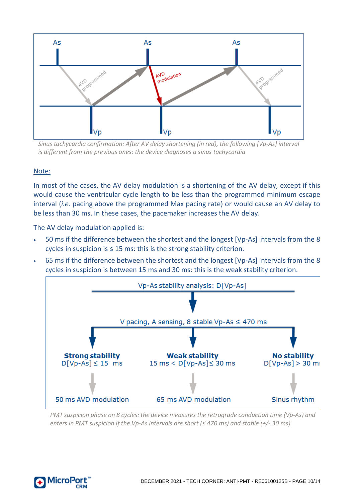

*Sinus tachycardia confirmation: After AV delay shortening (in red), the following [Vp-As] interval is different from the previous ones: the device diagnoses a sinus tachycardia*

#### Note:

In most of the cases, the AV delay modulation is a shortening of the AV delay, except if this would cause the ventricular cycle length to be less than the programmed minimum escape interval (*i.e.* pacing above the programmed Max pacing rate) or would cause an AV delay to be less than 30 ms. In these cases, the pacemaker increases the AV delay.

The AV delay modulation applied is:

- 50 ms if the difference between the shortest and the longest [Vp-As] intervals from the 8 cycles in suspicion is ≤ 15 ms: this is the strong stability criterion.
- 65 ms if the difference between the shortest and the longest [Vp-As] intervals from the 8 cycles in suspicion is between 15 ms and 30 ms: this is the weak stability criterion.



*PMT suspicion phase on 8 cycles: the device measures the retrograde conduction time (Vp-As) and enters in PMT suspicion if the Vp-As intervals are short (≤ 470 ms) and stable (+/- 30 ms)*

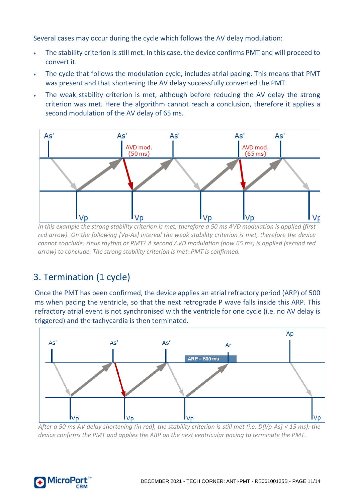Several cases may occur during the cycle which follows the AV delay modulation:

- The stability criterion is still met. In this case, the device confirms PMT and will proceed to convert it.
- The cycle that follows the modulation cycle, includes atrial pacing. This means that PMT was present and that shortening the AV delay successfully converted the PMT.
- The weak stability criterion is met, although before reducing the AV delay the strong criterion was met. Here the algorithm cannot reach a conclusion, therefore it applies a second modulation of the AV delay of 65 ms.



*In this example the strong stability criterion is met, therefore a 50 ms AVD modulation is applied (first red arrow). On the following [Vp-As] interval the weak stability criterion is met, therefore the device cannot conclude: sinus rhythm or PMT? A second AVD modulation (now 65 ms) is applied (second red arrow) to conclude. The strong stability criterion is met: PMT is confirmed.*

## <span id="page-10-0"></span>3. Termination (1 cycle)

Once the PMT has been confirmed, the device applies an atrial refractory period (ARP) of 500 ms when pacing the ventricle, so that the next retrograde P wave falls inside this ARP. This refractory atrial event is not synchronised with the ventricle for one cycle (i.e. no AV delay is triggered) and the tachycardia is then terminated.



*After a 50 ms AV delay shortening (in red), the stability criterion is still met (i.e. D[Vp-As] < 15 ms): the device confirms the PMT and applies the ARP on the next ventricular pacing to terminate the PMT.*

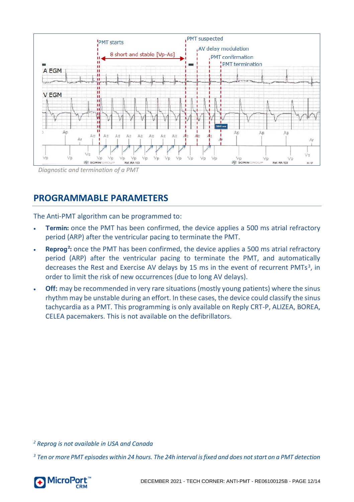

#### <span id="page-11-0"></span>**PROGRAMMABLE PARAMETERS**

The Anti-PMT algorithm can be programmed to:

- **Termin:** once the PMT has been confirmed, the device applies a 500 ms atrial refractory period (ARP) after the ventricular pacing to terminate the PMT.
- **Reprog**<sup>[2](#page-11-1)</sup>: once the PMT has been confirmed, the device applies a 500 ms atrial refractory period (ARP) after the ventricular pacing to terminate the PMT, and automatically decreases the Rest and Exercise AV delays by 15 ms in the event of recurrent PMTs<sup>[3](#page-11-2)</sup>, in order to limit the risk of new occurrences (due to long AV delays).
- **Off:** may be recommended in very rare situations (mostly young patients) where the sinus rhythm may be unstable during an effort. In these cases, the device could classify the sinus tachycardia as a PMT. This programming is only available on Reply CRT-P, ALIZEA, BOREA, CELEA pacemakers. This is not available on the defibrillators.

<span id="page-11-1"></span>*<sup>2</sup> Reprog is not available in USA and Canada*

<span id="page-11-2"></span>*<sup>3</sup> Ten or more PMT episodes within 24 hours. The 24h interval is fixed and does not start on a PMT detection*

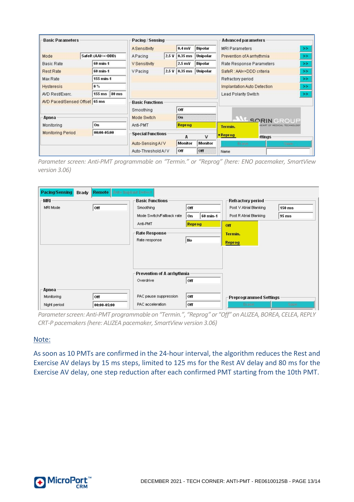| <b>Basic Parameters</b>       |                        | Pacing / Sensing                               |                   |                  |                                               | <b>Advanced parameters</b>        |  |
|-------------------------------|------------------------|------------------------------------------------|-------------------|------------------|-----------------------------------------------|-----------------------------------|--|
|                               |                        | <b>A</b> Sensitivity                           |                   | 0.4 <sub>m</sub> | <b>Bipolar</b>                                | <b>MRI Parameters</b><br>>        |  |
| Mode                          | SafeR (AAI<=>DDD)      | $2.5 \text{ V}$ 0.35 ms<br>Unipolar<br>APacing |                   |                  | Prevention of A arrhythmia<br>>>              |                                   |  |
| 60 min-1<br><b>Rasic Rate</b> |                        | V Sensitivity                                  |                   | $2.5$ mV         | <b>Bipolar</b>                                | Rate Response Parameters<br>>     |  |
| <b>Rest Rate</b>              | 60 min-1               | V Pacing                                       |                   | 2.5 V 0.35 ms    | <b>Unipolar</b>                               | SafeR: AAI=>DDD criteria<br>>     |  |
| Max Rate                      | 155 min-1              |                                                |                   |                  |                                               | Refractory period<br>>            |  |
| <b>Hysteresis</b>             | $0\%$                  |                                                |                   |                  |                                               | Implantation Auto Detection<br>>> |  |
| AVD Rest/Exerc.               | $155 \text{ ms}$ 80 ms |                                                |                   |                  |                                               | Lead Polarity Switch<br>>         |  |
| AVD Paced/Sensed Offset 65 ms |                        | <b>Basic Functions</b>                         |                   |                  |                                               |                                   |  |
|                               |                        | Off<br>Smoothing                               |                   |                  |                                               |                                   |  |
| Apnea                         |                        | O <sub>1</sub><br>Mode Switch                  |                   |                  | AL SORINGROUP                                 |                                   |  |
| Monitoring                    | On                     | Anti-PMT<br>Reprog                             |                   |                  | <b>HEART OF MEDICAL TECHNOLOGY</b><br>Termin. |                                   |  |
| <b>Monitoring Period</b>      | 00:00-05:00            | <b>Special Functions</b>                       | $\mathsf{V}$<br>A |                  |                                               | • Reprog<br><b>strings</b>        |  |
|                               |                        | Auto-Sensing A/V                               |                   | <b>Monitor</b>   | Monitor                                       | Eliase<br>Says:                   |  |
|                               |                        | Auto-Threshold A/V                             |                   | Off              | on                                            | Name                              |  |

*Parameter screen: Anti-PMT programmable on "Termin." or "Reprog" (here: ENO pacemaker, SmartView version 3.06)*

| Pacing/Sensing<br>Brady             | <b>Remote   Auto Implant Detect</b> |                                                                                                                 |            |                                                                              |                              |
|-------------------------------------|-------------------------------------|-----------------------------------------------------------------------------------------------------------------|------------|------------------------------------------------------------------------------|------------------------------|
| WR<br>MRI Mode                      | off                                 | <b>Basic Functions</b><br>Smoothing<br>Off<br>Mode Switch/Fallback rate<br>60 min-1<br>0n<br>Anti-PMT<br>Reprog |            | Refractory period<br>Post V Atrial Blanking<br>Post R Atrial Blanking<br>Off | $150$ ms<br>95 <sub>ms</sub> |
|                                     |                                     | <b>Rate Response</b><br>Rate response                                                                           | No         | Termin.<br>Reprog                                                            |                              |
|                                     |                                     | Prevention of A arrhythmia<br>Overdrive                                                                         | Off        |                                                                              |                              |
| Apnea<br>Monitoring<br>Night period | <b>Off</b><br>00:00-05:00           | PAC pause suppression<br>PAC acceleration                                                                       | Off<br>Off | Preprogrammed Settings<br>Erase                                              | Save                         |

*Parameter screen: Anti-PMT programmable on "Termin.", "Reprog" or "Off" on ALIZEA, BOREA, CELEA, REPLY CRT-P pacemakers (here: ALIZEA pacemaker, SmartView version 3.06)*

#### Note:

As soon as 10 PMTs are confirmed in the 24-hour interval, the algorithm reduces the Rest and Exercise AV delays by 15 ms steps, limited to 125 ms for the Rest AV delay and 80 ms for the Exercise AV delay, one step reduction after each confirmed PMT starting from the 10th PMT.